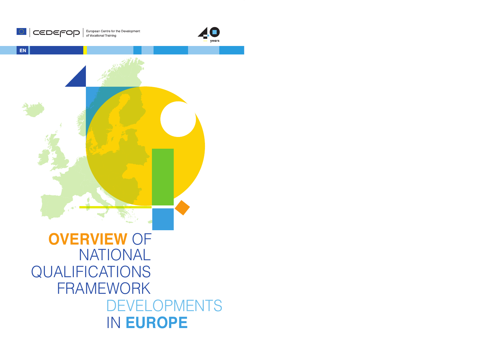

**CEDEFOD** Suropean Centre for the Development



**EN**

## NATIONAL QUALIFICATIONS FRAMEWORK DEVELOPMENTS IN **EUROPE OVERVIEW** OF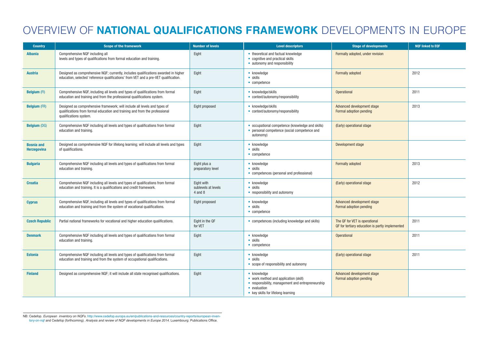## OVERVIEW OF **NATIONAL QUALIFICATIONS FRAMEWORK** DEVELOPMENTS IN EUROPE

| <b>Country</b>                   | <b>Scope of the framework</b>                                                                                                                                                      | <b>Number of levels</b>                          | <b>Level descriptors</b>                                                                                                                                        | <b>Stage of developments</b>                                                     | <b>NQF linked to EQF</b> |
|----------------------------------|------------------------------------------------------------------------------------------------------------------------------------------------------------------------------------|--------------------------------------------------|-----------------------------------------------------------------------------------------------------------------------------------------------------------------|----------------------------------------------------------------------------------|--------------------------|
| <b>Albania</b>                   | Comprehensive NQF including all<br>levels and types of qualifications from formal education and training.                                                                          | Eight                                            | • theoretical and factual knowledge<br>• cognitive and practical skills<br>• autonomy and responsibility                                                        | Formally adopted, under revision                                                 |                          |
| <b>Austria</b>                   | Designed as comprehensive NQF; currently, includes qualifications awarded in higher<br>education, selected 'reference qualifications' from VET and a pre-VET qualification.        | Eight                                            | • knowledge<br>$\bullet$ skills<br>• competence                                                                                                                 | Formally adopted                                                                 | 2012                     |
| <b>Belgium (FI)</b>              | Comprehensive NQF, including all levels and types of qualifications from formal<br>education and training and from the professional qualifications system.                         | Eight                                            | • knowledge/skills<br>• context/autonomy/responsibility                                                                                                         | Operational                                                                      | 2011                     |
| <b>Belgium (FR)</b>              | Designed as comprehensive framework; will include all levels and types of<br>qualifications from formal education and training and from the professional<br>qualifications system. | Eight proposed                                   | • knowledge/skills<br>• context/autonomy/responsibility                                                                                                         | Advanced development stage<br>Formal adoption pending                            | 2013                     |
| <b>Belgium (DG)</b>              | Comprehensive NQF including all levels and types of qualifications from formal<br>education and training.                                                                          | Eight                                            | • occupational competence (knowledge and skills)<br>• personal competence (social competence and<br>autonomy)                                                   | (Early) operational stage                                                        |                          |
| <b>Bosnia and</b><br>Herzegovina | Designed as comprehensive NQF for lifelong learning; will include all levels and types<br>of qualifications.                                                                       | Eight                                            | • knowledge<br>$\bullet$ skills<br>• competence                                                                                                                 | Development stage                                                                |                          |
| <b>Bulgaria</b>                  | Comprehensive NQF including all levels and types of qualifications from formal<br>education and training.                                                                          | Eight plus a<br>preparatory level                | • knowledge<br>$\bullet$ skills<br>• competences (personal and professional)                                                                                    | Formally adopted                                                                 | 2013                     |
| <b>Croatia</b>                   | Comprehensive NQF including all levels and types of qualifications from formal<br>education and training. It is a qualifications and credit framework.                             | Eight with<br>sublevels at levels<br>$4$ and $8$ | • knowledge<br>$\bullet$ skills<br>• responsibility and autonomy                                                                                                | (Early) operational stage                                                        | 2012                     |
| <b>Cyprus</b>                    | Comprehensive NQF, including all levels and types of qualifications from formal<br>education and training and from the system of vocational qualifications.                        | Eight proposed                                   | • knowledge<br>$\bullet$ skills<br>$\bullet$ competence                                                                                                         | Advanced development stage<br>Formal adoption pending                            |                          |
| <b>Czech Republic</b>            | Partial national frameworks for vocational and higher education qualifications.                                                                                                    | Eight in the QF<br>for VET                       | • competences (including knowledge and skills)                                                                                                                  | The QF for VET is operational<br>QF for tertiary education is partly implemented | 2011                     |
| <b>Denmark</b>                   | Comprehensive NQF including all levels and types of qualifications from formal<br>education and training.                                                                          | Eight                                            | • knowledge<br>$\bullet$ skills<br>• competence                                                                                                                 | <b>Operational</b>                                                               | 2011                     |
| <b>Estonia</b>                   | Comprehensive NQF including all levels and types of qualifications from formal<br>education and training and from the system of occupational qualifications.                       | Eight                                            | • knowledge<br>$\bullet$ skills<br>• scope of responsibility and autonomy                                                                                       | (Early) operational stage                                                        | 2011                     |
| <b>Finland</b>                   | Designed as comprehensive NQF; it will include all state recognised qualifications.                                                                                                | Eight                                            | • knowledge<br>• work method and application (skill)<br>• responsibility, management and entrepreneurship<br>• evaluation<br>• key skills for lifelong learning | Advanced development stage<br>Formal adoption pending                            |                          |

NB: Cedefop. *European inventory on NQFs.* http://www.cedefop.europa.eu/en/publications-and-resources/country-reports/european-inventory-on-nqf and Cedefop (forthcoming). *Analysis and review of NQF developments in Europe 2014.* Luxembourg: Publications Office.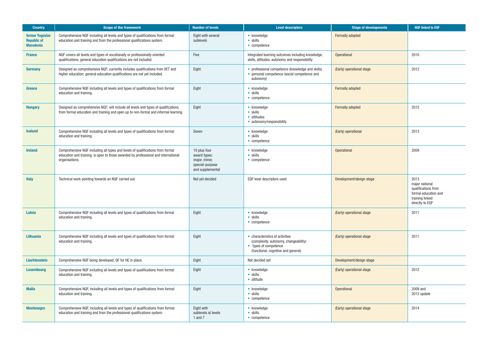| <b>Country</b>                                            | <b>Scope of the framework</b>                                                                                                                                                          | <b>Number of levels</b>                                                              | <b>Level descriptors</b>                                                                                                                 | Stage of developments     | <b>NQF linked to EQF</b>                                                                                    |
|-----------------------------------------------------------|----------------------------------------------------------------------------------------------------------------------------------------------------------------------------------------|--------------------------------------------------------------------------------------|------------------------------------------------------------------------------------------------------------------------------------------|---------------------------|-------------------------------------------------------------------------------------------------------------|
| former Yugoslav<br><b>Republic of</b><br><b>Macedonia</b> | Comprehensive NQF including all levels and types of qualifications from formal<br>education and training and from the professional qualifications system.                              | Eight with several<br>sublevels                                                      | • knowledge<br>$\bullet$ skills<br>• competence                                                                                          | Formally adopted          |                                                                                                             |
| <b>France</b>                                             | NQF covers all levels and types of vocationally or professionally oriented<br>qualifications; general education qualifications are not included.                                       | Five                                                                                 | Integrated learning outcomes including knowledge,<br>skills, attitudes, autonomy and responsibility                                      | <b>Operational</b>        | 2010                                                                                                        |
| <b>Germany</b>                                            | Designed as comprehensive NQF; currently includes qualifications from VET and<br>higher education; general education qualifications are not yet included.                              | Eight                                                                                | • professional competence (knowledge and skills)<br>• personal competence (social competence and<br>autonomy)                            | (Early) operational stage | 2012                                                                                                        |
| <b>Greece</b>                                             | Comprehensive NQF including all levels and types of qualifications from formal<br>education and training.                                                                              | Eight                                                                                | • knowledge<br>$\bullet$ skills<br>• competence                                                                                          | Formally adopted          |                                                                                                             |
| <b>Hungary</b>                                            | Designed as comprehensive NQF; will include all levels and types of qualifications<br>from formal education and training and open up to non-formal and informal learning.              | Eight                                                                                | • knowledge<br>• skills<br>• attitudes<br>• autonomy/responsibility                                                                      | Formally adopted          | 2015                                                                                                        |
| <b>Iceland</b>                                            | Comprehensive NQF including all levels and types of qualifications from formal<br>education and training.                                                                              | Seven                                                                                | • knowledge<br>• skills<br>• competence                                                                                                  | (Early) operational       | 2013                                                                                                        |
| <b>Ireland</b>                                            | Comprehensive NQF including all types and levels of qualifications from formal<br>education and training; is open to those awarded by professional and international<br>organisations. | 10 plus four<br>award types:<br>major, minor,<br>special-purpose<br>and supplemental | • knowledge<br>• skills<br>• competence                                                                                                  | <b>Operational</b>        | 2009                                                                                                        |
| <b>Italy</b>                                              | Technical work pointing towards an NQF carried out.                                                                                                                                    | Not yet decided                                                                      | EQF level descriptors used                                                                                                               | Development/design stage  | 2013<br>major national<br>qualifications from<br>formal education and<br>training linked<br>directly to EQF |
| Latvia                                                    | Comprehensive NQF including all levels and types of qualifications from formal<br>education and training.                                                                              | Eight                                                                                | • knowledge<br>$\bullet$ skills<br>• competence                                                                                          | (Early) operational stage | 2011                                                                                                        |
| <b>Lithuania</b>                                          | Comprehensive NQF including all levels and types of qualifications from formal<br>education and training.                                                                              | Eight                                                                                | • characteristics of activities<br>(complexity, autonomy, changeability)<br>• types of competence<br>(functional, cognitive and general) | (Early) operational stage | 2011                                                                                                        |
| Liechtenstein                                             | Comprehensive NQF being developed, QF for HE in place.                                                                                                                                 | Eight                                                                                | Not decided yet                                                                                                                          | Development/design stage  |                                                                                                             |
| <b>Luxembourg</b>                                         | Comprehensive NQF including all levels and types of qualifications from formal<br>education and training.                                                                              | Eight                                                                                | • knowledge<br>$\bullet$ skills<br>• attitude                                                                                            | (Early) operational stage | 2012                                                                                                        |
| <b>Malta</b>                                              | Comprehensive NQF, including all levels and types of qualifications from formal<br>education and training.                                                                             | Eight                                                                                | • knowledge<br>$\bullet$ skills<br>$\bullet$ competence                                                                                  | <b>Operational</b>        | 2009 and<br>2012 update                                                                                     |
| <b>Montenegro</b>                                         | Comprehensive NQF, including all levels and types of qualifications from formal<br>education and training and from the professional qualifications system.                             | Eight with<br>sublevels at levels<br>1 and $7$                                       | • knowledge<br>$\bullet$ skills<br>• competence                                                                                          | (Early) operational stage | 2014                                                                                                        |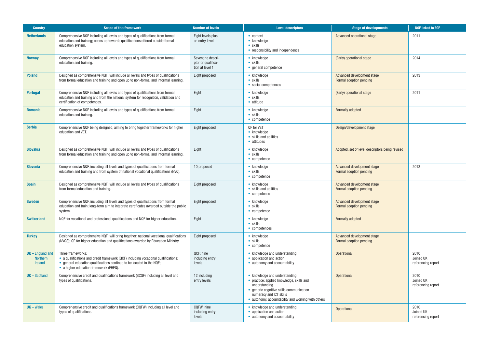| <b>Country</b>                                          | <b>Scope of the framework</b>                                                                                                                                                                                              | <b>Number of levels</b>                                    | <b>Level descriptors</b>                                                                                                                                                                                                 | <b>Stage of developments</b>                          | <b>NOF linked to EQF</b>                |
|---------------------------------------------------------|----------------------------------------------------------------------------------------------------------------------------------------------------------------------------------------------------------------------------|------------------------------------------------------------|--------------------------------------------------------------------------------------------------------------------------------------------------------------------------------------------------------------------------|-------------------------------------------------------|-----------------------------------------|
| <b>Netherlands</b>                                      | Comprehensive NQF including all levels and types of qualifications from formal<br>education and training; opens up towards qualifications offered outside formal<br>education system.                                      | Eight levels plus<br>an entry level                        | $\bullet$ context<br>• knowledge<br>$\bullet$ skills<br>• responsibility and independence                                                                                                                                | Advanced operational stage                            | 2011                                    |
| <b>Norway</b>                                           | Comprehensive NQF including all levels and types of qualifications from formal<br>education and training.                                                                                                                  | Seven; no descri-<br>ptor or qualifica-<br>tion at level 1 | • knowledge<br>$\bullet$ skills<br>• general competence                                                                                                                                                                  | (Early) operational stage                             | 2014                                    |
| <b>Poland</b>                                           | Designed as comprehensive NQF; will include all levels and types of qualifications<br>from formal education and training and open up to non-formal and informal learning.                                                  | Eight proposed                                             | • knowledge<br>$\bullet$ skills<br>• social competences                                                                                                                                                                  | Advanced development stage<br>Formal adoption pending | 2013                                    |
| <b>Portugal</b>                                         | Comprehensive NQF including all levels and types of qualifications from formal<br>education and training and from the national system for recognition, validation and<br>certification of competences.                     | Eight                                                      | • knowledge<br>$\bullet$ skills<br>• attitude                                                                                                                                                                            | (Early) operational stage                             | 2011                                    |
| <b>Romania</b>                                          | Comprehensive NQF including all levels and types of qualifications from formal<br>education and training.                                                                                                                  | Eight                                                      | • knowledge<br>$\bullet$ skills<br>$\bullet$ competence                                                                                                                                                                  | Formally adopted                                      |                                         |
| <b>Serbia</b>                                           | Comprehensive NQF being designed, aiming to bring together frameworks for higher<br>education and VET.                                                                                                                     | Eight proposed                                             | QF for VET<br>• knowledge<br>• skills and abilities<br>• attitudes                                                                                                                                                       | Design/development stage                              |                                         |
| <b>Slovakia</b>                                         | Designed as comprehensive NQF; will include all levels and types of qualifications<br>from formal education and training and open up to non-formal and informal learning.                                                  | Eight                                                      | • knowledge<br>$\bullet$ skills<br>• competence                                                                                                                                                                          | Adopted, set of level descriptors being revised       |                                         |
| <b>Slovenia</b>                                         | Comprehensive NQF, including all levels and types of qualifications from formal<br>education and training and from system of national vocational qualifications (NVQ).                                                     | 10 proposed                                                | • knowledge<br>$\bullet$ skills<br>$\bullet$ competence                                                                                                                                                                  | Advanced development stage<br>Formal adoption pending | 2013                                    |
| <b>Spain</b>                                            | Designed as comprehensive NQF; will include all levels and types of qualifications<br>from formal education and training.                                                                                                  | Eight proposed                                             | • knowledge<br>• skills and abilities<br>$\bullet$ competence                                                                                                                                                            | Advanced development stage<br>Formal adoption pending |                                         |
| <b>Sweden</b>                                           | Comprehensive NQF, including all levels and types of qualifications from formal<br>education and train; long-term aim to integrate certificates awarded outside the public<br>system.                                      | Eight proposed                                             | • knowledge<br>$\bullet$ skills<br>$\bullet$ competence                                                                                                                                                                  | Advanced development stage<br>Formal adoption pending |                                         |
| <b>Switzerland</b>                                      | NQF for vocational and professional qualifications and NQF for higher education.                                                                                                                                           | Eight                                                      | • knowledge<br>$\bullet$ skills<br>• competences                                                                                                                                                                         | Formally adopted                                      |                                         |
| <b>Turkey</b>                                           | Designed as comprehensive NQF; will bring together: national vocational qualifications<br>(NVQS); QF for higher education and qualifications awarded by Education Ministry.                                                | Eight proposed                                             | • knowledge<br>$\bullet$ skills<br>$\bullet$ competence                                                                                                                                                                  | Advanced development stage<br>Formal adoption pending |                                         |
| $UK$ – England and<br><b>Northern</b><br><b>Ireland</b> | Three frameworks:<br>• a qualifications and credit framework (QCF) including vocational qualifications;<br>• general education qualifications continue to be located in the NQF;<br>• a higher education framework (FHEQ). | QCF: nine<br>including entry<br><b>levels</b>              | • knowledge and understanding<br>• application and action<br>• autonomy and accountability                                                                                                                               | Operational                                           | 2010<br>Joined UK<br>referencing report |
| $UK - Scotland$                                         | Comprehensive credit and qualifications framework (SCQF) including all level and<br>types of qualifications.                                                                                                               | 12 including<br>entry levels                               | • knowledge and understanding<br>• practice: applied knowledge, skills and<br>understanding<br>• generic cognitive skills communication<br>numeracy and ICT skills<br>• autonomy, accountability and working with others | Operational                                           | 2010<br>Joined UK<br>referencing report |
| $UK-Wales$                                              | Comprehensive credit and qualifications framework (CQFW) including all level and<br>types of qualifications.                                                                                                               | CQFW: nine<br>including entry<br>levels                    | • knowledge and understanding<br>• application and action<br>• autonomy and accountability                                                                                                                               | Operational                                           | 2010<br>Joined UK<br>referencing report |